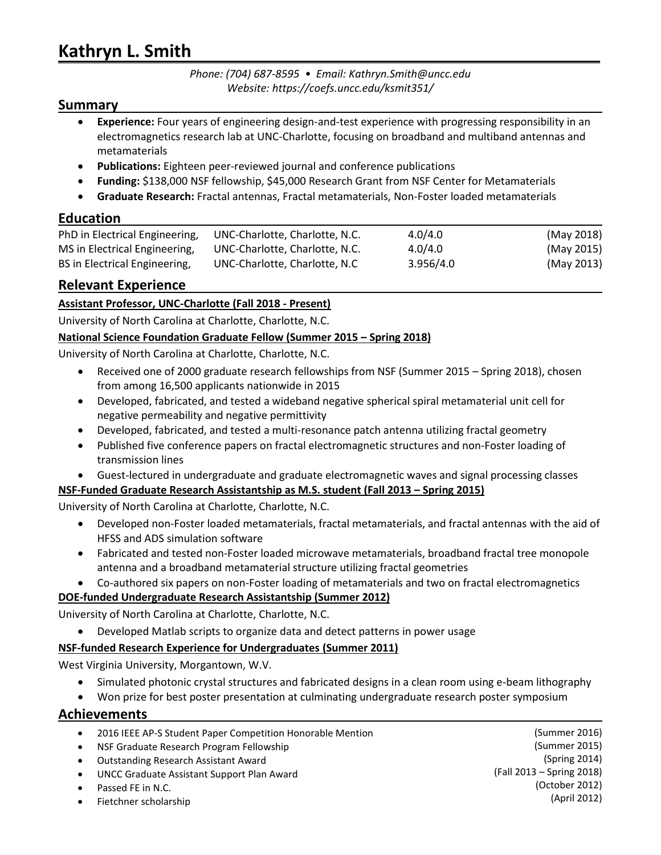# **Kathryn L. Smith**

*Phone: (704) 687-8595 • Email: Kathryn.Smith@uncc.edu Website: https://coefs.uncc.edu/ksmit351/*

## **Summary**

- **Experience:** Four years of engineering design-and-test experience with progressing responsibility in an electromagnetics research lab at UNC-Charlotte, focusing on broadband and multiband antennas and metamaterials
- **Publications:** Eighteen peer-reviewed journal and conference publications
- **Funding:** \$138,000 NSF fellowship, \$45,000 Research Grant from NSF Center for Metamaterials
- **Graduate Research:** Fractal antennas, Fractal metamaterials, Non-Foster loaded metamaterials

# **Education**

| PhD in Electrical Engineering, | UNC-Charlotte, Charlotte, N.C. | 4.0/4.0   | (May 2018) |
|--------------------------------|--------------------------------|-----------|------------|
| MS in Electrical Engineering,  | UNC-Charlotte, Charlotte, N.C. | 4.0/4.0   | (May 2015) |
| BS in Electrical Engineering,  | UNC-Charlotte, Charlotte, N.C. | 3.956/4.0 | (May 2013) |

## **Relevant Experience**

## **Assistant Professor, UNC-Charlotte (Fall 2018 - Present)**

University of North Carolina at Charlotte, Charlotte, N.C.

#### **National Science Foundation Graduate Fellow (Summer 2015 – Spring 2018)**

University of North Carolina at Charlotte, Charlotte, N.C.

- Received one of 2000 graduate research fellowships from NSF (Summer 2015 Spring 2018), chosen from among 16,500 applicants nationwide in 2015
- Developed, fabricated, and tested a wideband negative spherical spiral metamaterial unit cell for negative permeability and negative permittivity
- Developed, fabricated, and tested a multi-resonance patch antenna utilizing fractal geometry
- Published five conference papers on fractal electromagnetic structures and non-Foster loading of transmission lines
- Guest-lectured in undergraduate and graduate electromagnetic waves and signal processing classes

## **NSF-Funded Graduate Research Assistantship as M.S. student (Fall 2013 – Spring 2015)**

University of North Carolina at Charlotte, Charlotte, N.C.

- Developed non-Foster loaded metamaterials, fractal metamaterials, and fractal antennas with the aid of HFSS and ADS simulation software
- Fabricated and tested non-Foster loaded microwave metamaterials, broadband fractal tree monopole antenna and a broadband metamaterial structure utilizing fractal geometries
- Co-authored six papers on non-Foster loading of metamaterials and two on fractal electromagnetics

## **DOE-funded Undergraduate Research Assistantship (Summer 2012)**

University of North Carolina at Charlotte, Charlotte, N.C.

Developed Matlab scripts to organize data and detect patterns in power usage

## **NSF-funded Research Experience for Undergraduates (Summer 2011)**

West Virginia University, Morgantown, W.V.

- Simulated photonic crystal structures and fabricated designs in a clean room using e-beam lithography
- Won prize for best poster presentation at culminating undergraduate research poster symposium

## **Achievements**

- 2016 IEEE AP-S Student Paper Competition Honorable Mention
- NSF Graduate Research Program Fellowship
- Outstanding Research Assistant Award
- UNCC Graduate Assistant Support Plan Award
- Passed FE in N.C.
- Fietchner scholarship

(Summer 2016) (Summer 2015) (Spring 2014) (Fall 2013 – Spring 2018) (October 2012) (April 2012)